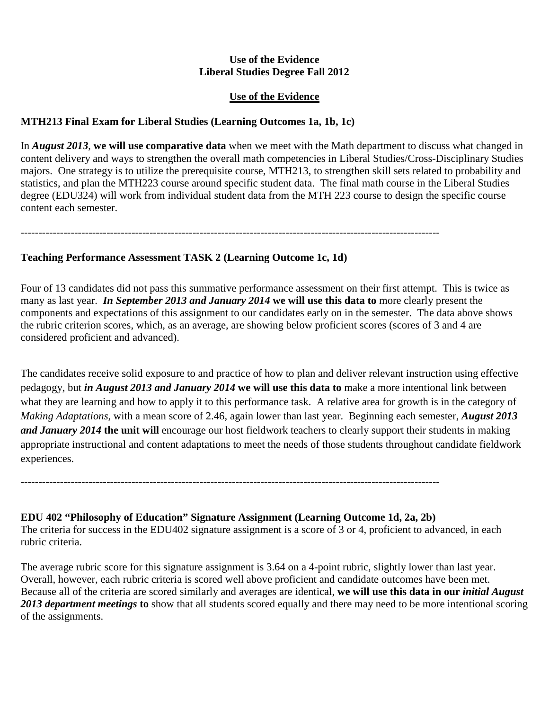### **Use of the Evidence Liberal Studies Degree Fall 2012**

## **Use of the Evidence**

# **MTH213 Final Exam for Liberal Studies (Learning Outcomes 1a, 1b, 1c)**

In *August 2013*, **we will use comparative data** when we meet with the Math department to discuss what changed in content delivery and ways to strengthen the overall math competencies in Liberal Studies/Cross-Disciplinary Studies majors. One strategy is to utilize the prerequisite course, MTH213, to strengthen skill sets related to probability and statistics, and plan the MTH223 course around specific student data. The final math course in the Liberal Studies degree (EDU324) will work from individual student data from the MTH 223 course to design the specific course content each semester.

---------------------------------------------------------------------------------------------------------------------

**Teaching Performance Assessment TASK 2 (Learning Outcome 1c, 1d)**

Four of 13 candidates did not pass this summative performance assessment on their first attempt. This is twice as many as last year. *In September 2013 and January 2014* **we will use this data to** more clearly present the components and expectations of this assignment to our candidates early on in the semester. The data above shows the rubric criterion scores, which, as an average, are showing below proficient scores (scores of 3 and 4 are considered proficient and advanced).

The candidates receive solid exposure to and practice of how to plan and deliver relevant instruction using effective pedagogy, but *in August 2013 and January 2014* **we will use this data to** make a more intentional link between what they are learning and how to apply it to this performance task. A relative area for growth is in the category of *Making Adaptations,* with a mean score of 2.46, again lower than last year. Beginning each semester, *August 2013 and January 2014* **the unit will** encourage our host fieldwork teachers to clearly support their students in making appropriate instructional and content adaptations to meet the needs of those students throughout candidate fieldwork experiences.

**EDU 402 "Philosophy of Education" Signature Assignment (Learning Outcome 1d, 2a, 2b)**

---------------------------------------------------------------------------------------------------------------------

The criteria for success in the EDU402 signature assignment is a score of 3 or 4, proficient to advanced, in each rubric criteria.

The average rubric score for this signature assignment is 3.64 on a 4-point rubric, slightly lower than last year. Overall, however, each rubric criteria is scored well above proficient and candidate outcomes have been met. Because all of the criteria are scored similarly and averages are identical, **we will use this data in our** *initial August 2013 department meetings* **to** show that all students scored equally and there may need to be more intentional scoring of the assignments.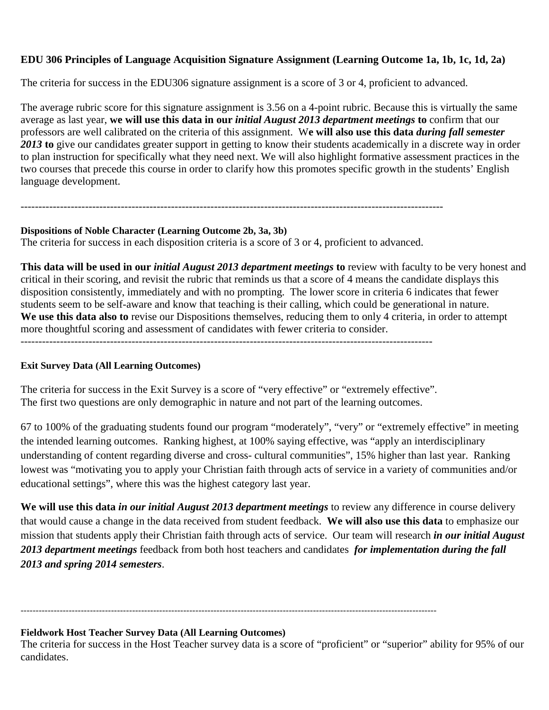# **EDU 306 Principles of Language Acquisition Signature Assignment (Learning Outcome 1a, 1b, 1c, 1d, 2a)**

The criteria for success in the EDU306 signature assignment is a score of 3 or 4, proficient to advanced.

The average rubric score for this signature assignment is 3.56 on a 4-point rubric. Because this is virtually the same average as last year, **we will use this data in our** *initial August 2013 department meetings* **to** confirm that our professors are well calibrated on the criteria of this assignment. W**e will also use this data** *during fall semester 2013* **to** give our candidates greater support in getting to know their students academically in a discrete way in order to plan instruction for specifically what they need next. We will also highlight formative assessment practices in the two courses that precede this course in order to clarify how this promotes specific growth in the students' English language development.

### **Dispositions of Noble Character (Learning Outcome 2b, 3a, 3b)**

The criteria for success in each disposition criteria is a score of 3 or 4, proficient to advanced.

----------------------------------------------------------------------------------------------------------------------

**This data will be used in our** *initial August 2013 department meetings* **to** review with faculty to be very honest and critical in their scoring, and revisit the rubric that reminds us that a score of 4 means the candidate displays this disposition consistently, immediately and with no prompting. The lower score in criteria 6 indicates that fewer students seem to be self-aware and know that teaching is their calling, which could be generational in nature. **We use this data also to** revise our Dispositions themselves, reducing them to only 4 criteria, in order to attempt more thoughtful scoring and assessment of candidates with fewer criteria to consider.

-------------------------------------------------------------------------------------------------------------------

### **Exit Survey Data (All Learning Outcomes)**

The criteria for success in the Exit Survey is a score of "very effective" or "extremely effective". The first two questions are only demographic in nature and not part of the learning outcomes.

67 to 100% of the graduating students found our program "moderately", "very" or "extremely effective" in meeting the intended learning outcomes. Ranking highest, at 100% saying effective, was "apply an interdisciplinary understanding of content regarding diverse and cross- cultural communities", 15% higher than last year. Ranking lowest was "motivating you to apply your Christian faith through acts of service in a variety of communities and/or educational settings", where this was the highest category last year.

**We will use this data** *in our initial August 2013 department meetings* to review any difference in course delivery that would cause a change in the data received from student feedback. **We will also use this data** to emphasize our mission that students apply their Christian faith through acts of service. Our team will research *in our initial August 2013 department meetings* feedback from both host teachers and candidates *for implementation during the fall 2013 and spring 2014 semesters*.

## ------------------------------------------------------------------------------------------------------------------------------------------

#### **Fieldwork Host Teacher Survey Data (All Learning Outcomes)**

The criteria for success in the Host Teacher survey data is a score of "proficient" or "superior" ability for 95% of our candidates.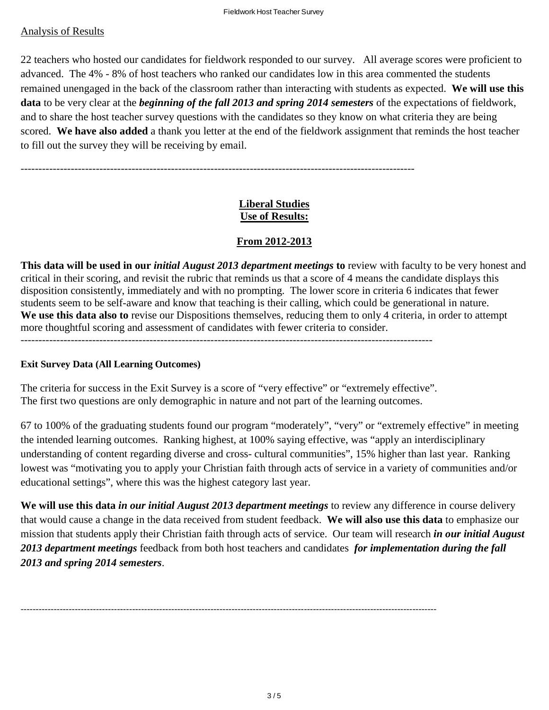### Analysis of Results

22 teachers who hosted our candidates for fieldwork responded to our survey. All average scores were proficient to advanced. The 4% - 8% of host teachers who ranked our candidates low in this area commented the students remained unengaged in the back of the classroom rather than interacting with students as expected. **We will use this data** to be very clear at the *beginning of the fall 2013 and spring 2014 semesters* of the expectations of fieldwork, and to share the host teacher survey questions with the candidates so they know on what criteria they are being scored. **We have also added** a thank you letter at the end of the fieldwork assignment that reminds the host teacher to fill out the survey they will be receiving by email.

--------------------------------------------------------------------------------------------------------------

## **Liberal Studies Use of Results:**

## **From 2012-2013**

**This data will be used in our** *initial August 2013 department meetings* **to** review with faculty to be very honest and critical in their scoring, and revisit the rubric that reminds us that a score of 4 means the candidate displays this disposition consistently, immediately and with no prompting. The lower score in criteria 6 indicates that fewer students seem to be self-aware and know that teaching is their calling, which could be generational in nature. **We use this data also to** revise our Dispositions themselves, reducing them to only 4 criteria, in order to attempt more thoughtful scoring and assessment of candidates with fewer criteria to consider.

-------------------------------------------------------------------------------------------------------------------

#### **Exit Survey Data (All Learning Outcomes)**

The criteria for success in the Exit Survey is a score of "very effective" or "extremely effective". The first two questions are only demographic in nature and not part of the learning outcomes.

67 to 100% of the graduating students found our program "moderately", "very" or "extremely effective" in meeting the intended learning outcomes. Ranking highest, at 100% saying effective, was "apply an interdisciplinary understanding of content regarding diverse and cross- cultural communities", 15% higher than last year. Ranking lowest was "motivating you to apply your Christian faith through acts of service in a variety of communities and/or educational settings", where this was the highest category last year.

**We will use this data** *in our initial August 2013 department meetings* to review any difference in course delivery that would cause a change in the data received from student feedback. **We will also use this data** to emphasize our mission that students apply their Christian faith through acts of service. Our team will research *in our initial August 2013 department meetings* feedback from both host teachers and candidates *for implementation during the fall 2013 and spring 2014 semesters*.

------------------------------------------------------------------------------------------------------------------------------------------